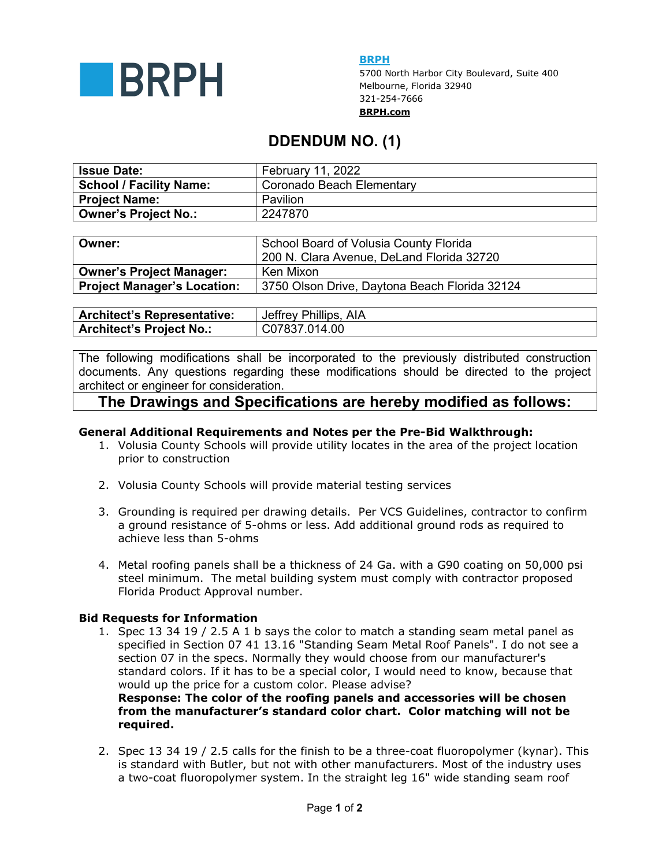

**BRPH** 

5700 North Harbor City Boulevard, Suite 400 Melbourne, Florida 32940 321-254-7666 **BRPH.com**

# **DDENDUM NO. (1)**

| <b>Issue Date:</b>             | February 11, 2022         |
|--------------------------------|---------------------------|
| <b>School / Facility Name:</b> | Coronado Beach Elementary |
| Project Name:                  | Pavilion                  |
| <b>Owner's Project No.:</b>    | 2247870                   |

| Owner:                          | School Board of Volusia County Florida<br>200 N. Clara Avenue, DeLand Florida 32720 |
|---------------------------------|-------------------------------------------------------------------------------------|
| <b>Owner's Project Manager:</b> | Ken Mixon                                                                           |
| Project Manager's Location:     | 3750 Olson Drive, Daytona Beach Florida 32124                                       |

| <b>Architect's Representative:</b> | Jeffrey Phillips, AIA |
|------------------------------------|-----------------------|
| <b>Architect's Project No.:</b>    | C07837.014.00         |

The following modifications shall be incorporated to the previously distributed construction documents. Any questions regarding these modifications should be directed to the project architect or engineer for consideration.

## **The Drawings and Specifications are hereby modified as follows:**

### **General Additional Requirements and Notes per the Pre-Bid Walkthrough:**

- 1. Volusia County Schools will provide utility locates in the area of the project location prior to construction
- 2. Volusia County Schools will provide material testing services
- 3. Grounding is required per drawing details. Per VCS Guidelines, contractor to confirm a ground resistance of 5-ohms or less. Add additional ground rods as required to achieve less than 5-ohms
- 4. Metal roofing panels shall be a thickness of 24 Ga. with a G90 coating on 50,000 psi steel minimum. The metal building system must comply with contractor proposed Florida Product Approval number.

#### **Bid Requests for Information**

1. Spec 13 34 19 / 2.5 A 1 b says the color to match a standing seam metal panel as specified in Section 07 41 13.16 "Standing Seam Metal Roof Panels". I do not see a section 07 in the specs. Normally they would choose from our manufacturer's standard colors. If it has to be a special color, I would need to know, because that would up the price for a custom color. Please advise?

**Response: The color of the roofing panels and accessories will be chosen from the manufacturer's standard color chart. Color matching will not be required.** 

2. Spec 13 34 19 / 2.5 calls for the finish to be a three-coat fluoropolymer (kynar). This is standard with Butler, but not with other manufacturers. Most of the industry uses a two-coat fluoropolymer system. In the straight leg 16" wide standing seam roof